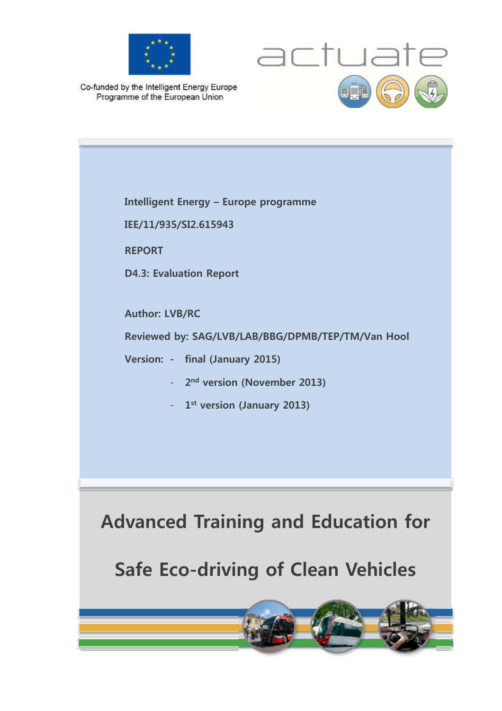



Co-funded by the Intelligent Energy Europe Programme of the European Union

**Advanced Training and Education for Safe Eco-driving of Clean Vehicles Intelligent Energy – Europe programme IEE/11/935/SI2.615943 REPORT D4.3: Evaluation Report Author: LVB/RC Reviewed by: SAG/LVB/LAB/BBG/DPMB/TEP/TM/Van Hool Version: - final (January 2015)**  - **2 nd version (November 2013)**  - **1 st version (January 2013)**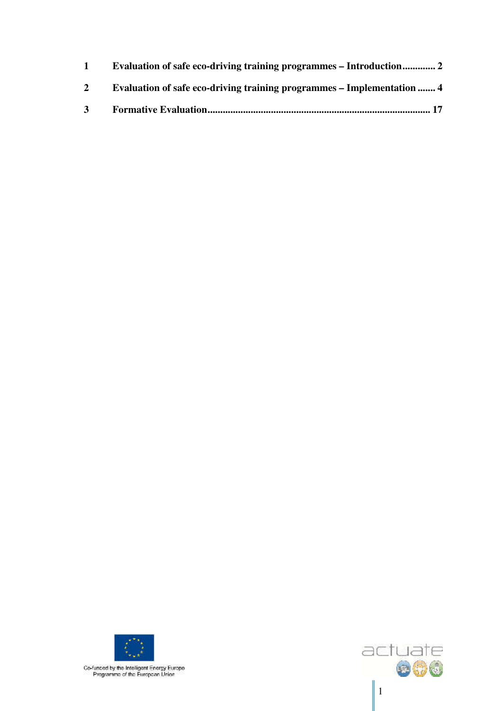| $2^{\circ}$    | Evaluation of safe eco-driving training programmes – Implementation  4 |
|----------------|------------------------------------------------------------------------|
| 3 <sup>1</sup> |                                                                        |



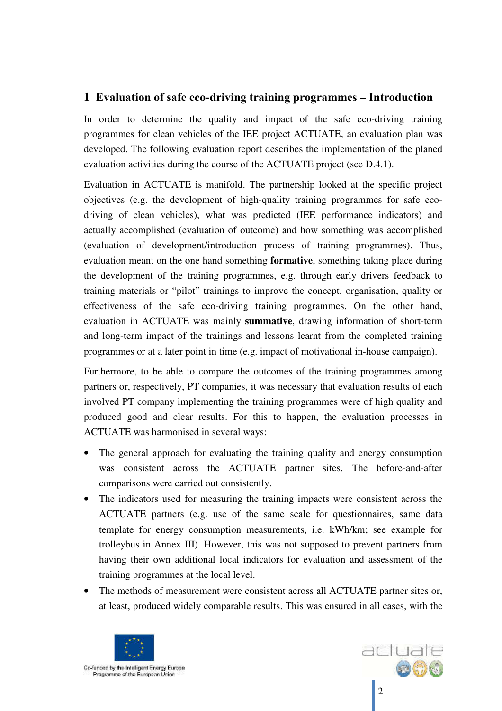## **1 Evaluation of safe eco-driving training programmes – Introduction**

In order to determine the quality and impact of the safe eco-driving training programmes for clean vehicles of the IEE project ACTUATE, an evaluation plan was developed. The following evaluation report describes the implementation of the planed evaluation activities during the course of the ACTUATE project (see D.4.1).

Evaluation in ACTUATE is manifold. The partnership looked at the specific project objectives (e.g. the development of high-quality training programmes for safe ecodriving of clean vehicles), what was predicted (IEE performance indicators) and actually accomplished (evaluation of outcome) and how something was accomplished (evaluation of development/introduction process of training programmes). Thus, evaluation meant on the one hand something **formative**, something taking place during the development of the training programmes, e.g. through early drivers feedback to training materials or "pilot" trainings to improve the concept, organisation, quality or effectiveness of the safe eco-driving training programmes. On the other hand, evaluation in ACTUATE was mainly **summative**, drawing information of short-term and long-term impact of the trainings and lessons learnt from the completed training programmes or at a later point in time (e.g. impact of motivational in-house campaign).

Furthermore, to be able to compare the outcomes of the training programmes among partners or, respectively, PT companies, it was necessary that evaluation results of each involved PT company implementing the training programmes were of high quality and produced good and clear results. For this to happen, the evaluation processes in ACTUATE was harmonised in several ways:

- The general approach for evaluating the training quality and energy consumption was consistent across the ACTUATE partner sites. The before-and-after comparisons were carried out consistently.
- The indicators used for measuring the training impacts were consistent across the ACTUATE partners (e.g. use of the same scale for questionnaires, same data template for energy consumption measurements, i.e. kWh/km; see example for trolleybus in Annex III). However, this was not supposed to prevent partners from having their own additional local indicators for evaluation and assessment of the training programmes at the local level.
- The methods of measurement were consistent across all ACTUATE partner sites or, at least, produced widely comparable results. This was ensured in all cases, with the



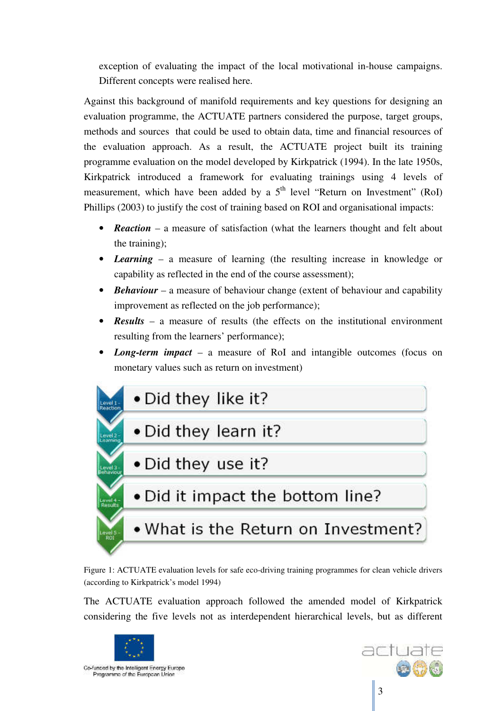exception of evaluating the impact of the local motivational in-house campaigns. Different concepts were realised here.

Against this background of manifold requirements and key questions for designing an evaluation programme, the ACTUATE partners considered the purpose, target groups, methods and sources that could be used to obtain data, time and financial resources of the evaluation approach. As a result, the ACTUATE project built its training programme evaluation on the model developed by Kirkpatrick (1994). In the late 1950s, Kirkpatrick introduced a framework for evaluating trainings using 4 levels of measurement, which have been added by a  $5<sup>th</sup>$  level "Return on Investment" (RoI) Phillips (2003) to justify the cost of training based on ROI and organisational impacts:

- *Reaction* a measure of satisfaction (what the learners thought and felt about the training);
- *Learning* a measure of learning (the resulting increase in knowledge or capability as reflected in the end of the course assessment);
- **Behaviour** a measure of behaviour change (extent of behaviour and capability improvement as reflected on the job performance);
- *Results* a measure of results (the effects on the institutional environment resulting from the learners' performance);
- *Long-term impact* a measure of RoI and intangible outcomes (focus on monetary values such as return on investment)



Figure 1: ACTUATE evaluation levels for safe eco-driving training programmes for clean vehicle drivers (according to Kirkpatrick's model 1994)

The ACTUATE evaluation approach followed the amended model of Kirkpatrick considering the five levels not as interdependent hierarchical levels, but as different



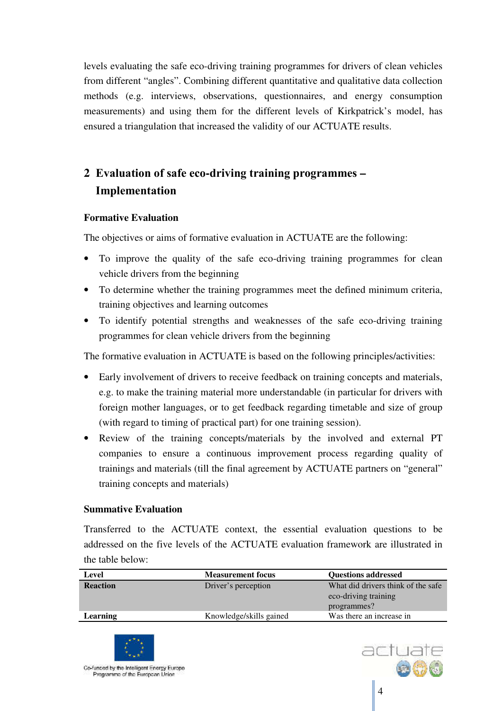levels evaluating the safe eco-driving training programmes for drivers of clean vehicles from different "angles". Combining different quantitative and qualitative data collection methods (e.g. interviews, observations, questionnaires, and energy consumption measurements) and using them for the different levels of Kirkpatrick's model, has ensured a triangulation that increased the validity of our ACTUATE results.

# **2 Evaluation of safe eco-driving training programmes – Implementation**

## **Formative Evaluation**

The objectives or aims of formative evaluation in ACTUATE are the following:

- To improve the quality of the safe eco-driving training programmes for clean vehicle drivers from the beginning
- To determine whether the training programmes meet the defined minimum criteria, training objectives and learning outcomes
- To identify potential strengths and weaknesses of the safe eco-driving training programmes for clean vehicle drivers from the beginning

The formative evaluation in ACTUATE is based on the following principles/activities:

- Early involvement of drivers to receive feedback on training concepts and materials, e.g. to make the training material more understandable (in particular for drivers with foreign mother languages, or to get feedback regarding timetable and size of group (with regard to timing of practical part) for one training session).
- Review of the training concepts/materials by the involved and external PT companies to ensure a continuous improvement process regarding quality of trainings and materials (till the final agreement by ACTUATE partners on "general" training concepts and materials)

#### **Summative Evaluation**

Transferred to the ACTUATE context, the essential evaluation questions to be addressed on the five levels of the ACTUATE evaluation framework are illustrated in the table below:

| Level           | <b>Measurement focus</b> | <b>Ouestions addressed</b>          |
|-----------------|--------------------------|-------------------------------------|
| <b>Reaction</b> | Driver's perception      | What did drivers think of the safe. |
|                 |                          | eco-driving training                |
|                 |                          | programmes?                         |
| Learning        | Knowledge/skills gained  | Was there an increase in            |
|                 |                          |                                     |



l

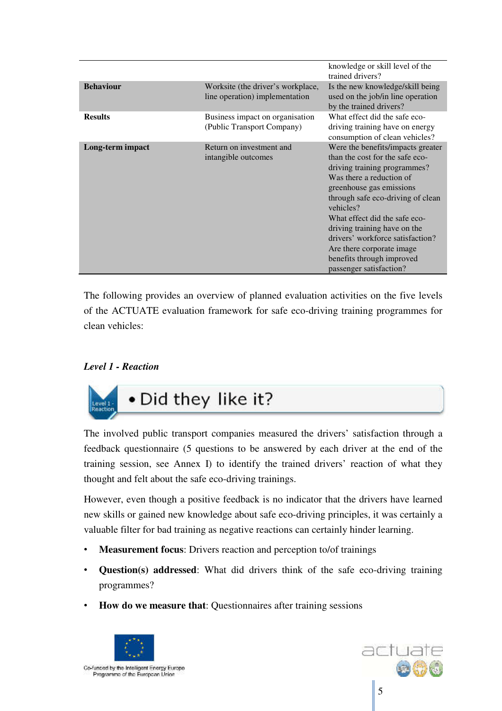|                  |                                                                     | knowledge or skill level of the<br>trained drivers?                                                                                                                                                                                                                                                                                                                                                      |
|------------------|---------------------------------------------------------------------|----------------------------------------------------------------------------------------------------------------------------------------------------------------------------------------------------------------------------------------------------------------------------------------------------------------------------------------------------------------------------------------------------------|
| <b>Behaviour</b> | Worksite (the driver's workplace,<br>line operation) implementation | Is the new knowledge/skill being<br>used on the job/in line operation<br>by the trained drivers?                                                                                                                                                                                                                                                                                                         |
| <b>Results</b>   | Business impact on organisation<br>(Public Transport Company)       | What effect did the safe eco-<br>driving training have on energy<br>consumption of clean vehicles?                                                                                                                                                                                                                                                                                                       |
| Long-term impact | Return on investment and<br>intangible outcomes                     | Were the benefits/impacts greater<br>than the cost for the safe eco-<br>driving training programmes?<br>Was there a reduction of<br>greenhouse gas emissions<br>through safe eco-driving of clean<br>vehicles?<br>What effect did the safe eco-<br>driving training have on the<br>drivers' workforce satisfaction?<br>Are there corporate image<br>benefits through improved<br>passenger satisfaction? |

The following provides an overview of planned evaluation activities on the five levels of the ACTUATE evaluation framework for safe eco-driving training programmes for clean vehicles:

#### *Level 1 - Reaction*



The involved public transport companies measured the drivers' satisfaction through a feedback questionnaire (5 questions to be answered by each driver at the end of the training session, see Annex I) to identify the trained drivers' reaction of what they thought and felt about the safe eco-driving trainings.

However, even though a positive feedback is no indicator that the drivers have learned new skills or gained new knowledge about safe eco-driving principles, it was certainly a valuable filter for bad training as negative reactions can certainly hinder learning.

- **Measurement focus**: Drivers reaction and perception to/of trainings
- **Question(s) addressed**: What did drivers think of the safe eco-driving training programmes?
- **How do we measure that**: Questionnaires after training sessions



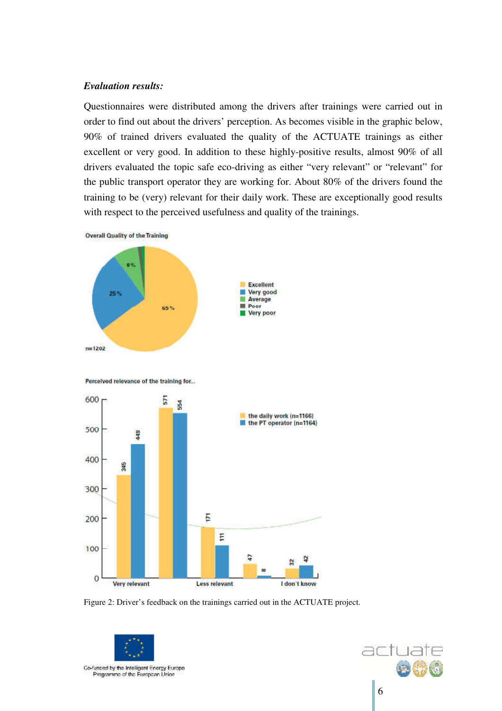#### *Evaluation results:*

Questionnaires were distributed among the drivers after trainings were carried out in order to find out about the drivers' perception. As becomes visible in the graphic below, 90% of trained drivers evaluated the quality of the ACTUATE trainings as either excellent or very good. In addition to these highly-positive results, almost 90% of all drivers evaluated the topic safe eco-driving as either "very relevant" or "relevant" for the public transport operator they are working for. About 80% of the drivers found the training to be (very) relevant for their daily work. These are exceptionally good results with respect to the perceived usefulness and quality of the trainings.



Figure 2: Driver's feedback on the trainings carried out in the ACTUATE project.



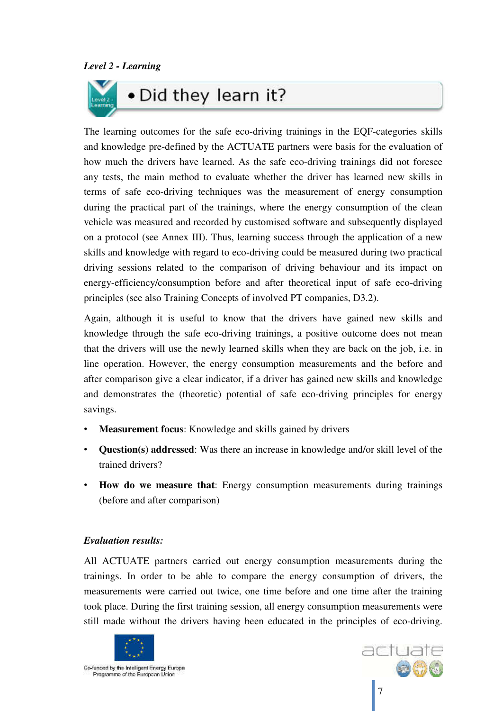

The learning outcomes for the safe eco-driving trainings in the EQF-categories skills and knowledge pre-defined by the ACTUATE partners were basis for the evaluation of how much the drivers have learned. As the safe eco-driving trainings did not foresee any tests, the main method to evaluate whether the driver has learned new skills in terms of safe eco-driving techniques was the measurement of energy consumption during the practical part of the trainings, where the energy consumption of the clean vehicle was measured and recorded by customised software and subsequently displayed on a protocol (see Annex III). Thus, learning success through the application of a new skills and knowledge with regard to eco-driving could be measured during two practical driving sessions related to the comparison of driving behaviour and its impact on energy-efficiency/consumption before and after theoretical input of safe eco-driving principles (see also Training Concepts of involved PT companies, D3.2).

Again, although it is useful to know that the drivers have gained new skills and knowledge through the safe eco-driving trainings, a positive outcome does not mean that the drivers will use the newly learned skills when they are back on the job, i.e. in line operation. However, the energy consumption measurements and the before and after comparison give a clear indicator, if a driver has gained new skills and knowledge and demonstrates the (theoretic) potential of safe eco-driving principles for energy savings.

- **Measurement focus:** Knowledge and skills gained by drivers
- **Question(s) addressed**: Was there an increase in knowledge and/or skill level of the trained drivers?
- **How do we measure that**: Energy consumption measurements during trainings (before and after comparison)

## *Evaluation results:*

All ACTUATE partners carried out energy consumption measurements during the trainings. In order to be able to compare the energy consumption of drivers, the measurements were carried out twice, one time before and one time after the training took place. During the first training session, all energy consumption measurements were still made without the drivers having been educated in the principles of eco-driving.



l

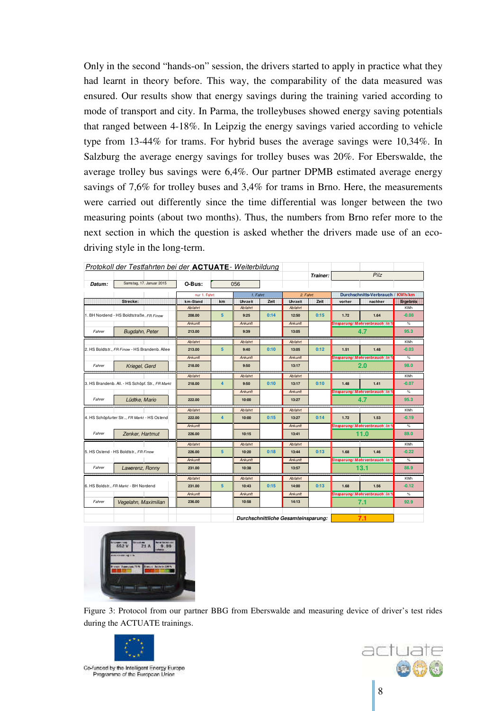Only in the second "hands-on" session, the drivers started to apply in practice what they had learnt in theory before. This way, the comparability of the data measured was ensured. Our results show that energy savings during the training varied according to mode of transport and city. In Parma, the trolleybuses showed energy saving potentials that ranged between 4-18%. In Leipzig the energy savings varied according to vehicle type from 13-44% for trams. For hybrid buses the average savings were 10,34%. In Salzburg the average energy savings for trolley buses was 20%. For Eberswalde, the average trolley bus savings were 6,4%. Our partner DPMB estimated average energy savings of 7,6% for trolley buses and 3,4% for trams in Brno. Here, the measurements were carried out differently since the time differential was longer between the two measuring points (about two months). Thus, the numbers from Brno refer more to the next section in which the question is asked whether the drivers made use of an ecodriving style in the long-term.

|        | Protokoll der Testfahrten bei der ACTUATE-Weiterbildung |                |                                            |                |      |          |          |        |                                      |            |
|--------|---------------------------------------------------------|----------------|--------------------------------------------|----------------|------|----------|----------|--------|--------------------------------------|------------|
|        |                                                         |                |                                            |                |      |          | Trainer: |        | Pilz                                 |            |
| Datum: | Samstag, 17. Januar 2015                                | O-Bus:         |                                            | 056            |      |          |          |        |                                      |            |
|        |                                                         | nur 1. Fahrt   |                                            | 1. Fahrt       |      | 2. Fahrt |          |        | Durchschnitts-Verbrauch / KWh/km     |            |
|        | Strecke:                                                | km-Stand       | km.                                        | Unrzeit        | Zeit | Uhrzeit  | Zeit     | vorher | nachher                              | Ergebnis   |
|        |                                                         | <b>Abfahrt</b> |                                            | <b>Abfahrt</b> |      | Abfahrt  |          |        |                                      | <b>KWh</b> |
|        | 1. BH Nordend - HS Boldtstraße, FR Finow                | 208.00         | 5                                          | 9:25           | 0:14 | 12:50    | 0:15     | 1.72   | 1.64                                 | $-0.08$    |
|        |                                                         | Ankunft        |                                            | Ankunft        |      | Ankunft  |          |        | Binsparung/Mehrverbrauch in f        | $\%$       |
| Fahrer | Bugdahn, Peter                                          | 213.00         |                                            | 9:39           |      | 13:05    |          |        | 4.7                                  | 95.3       |
|        |                                                         | <b>Abfahrt</b> |                                            | <b>Abfahrt</b> |      | Abfahrt  |          |        |                                      | <b>KWh</b> |
|        | 2. HS Boldtstr., FR Finow - HS Brandenb. Allee          | 213.00         | 5                                          | 9:40           | 0:10 | 13:05    | 0:12     | 1.51   | 1.48                                 | $-0.03$    |
|        |                                                         | Ankunft        |                                            | Ankunft        |      | Ankunft  |          |        | Einsparung: Mehrverbrauch in '       | $\%$       |
| Fahrer | Kriegel, Gerd                                           | 218.00         |                                            | 9:50           |      | 13:17    |          |        | 2.0                                  | 98.0       |
|        |                                                         | <b>Abfahrt</b> |                                            | <b>Abfahrt</b> |      | Abfahrt  |          |        |                                      | <b>KWh</b> |
|        | 3. HS Brandenb. All. - HS Schöpf. Str., FR Markt        | 218.00         | $\overline{\mathbf{4}}$                    | 9:50           | 0:10 | 13:17    | 0:10     | 1.48   | 1.41                                 | $-0.07$    |
|        |                                                         |                |                                            | Ankunft        |      | Ankunft  |          |        | <b>Einsparung/Mehrverbrauch in *</b> | %          |
| Fahrer | Lüdtke, Mario                                           | 222.00         |                                            | 10:00          |      | 13:27    |          |        | 4.7                                  | 95.3       |
|        |                                                         | <b>Abfahrt</b> |                                            | <b>Abfahrt</b> |      | Abfahrt  |          |        |                                      | <b>KWh</b> |
|        | 4. HS Schöpfurter Str, FR Markt - HS Ostend             | 222.00         | $\overline{4}$                             | 10:00          | 0:15 | 13:27    | 0:14     | 1.72   | 1.53                                 | $-0.19$    |
|        |                                                         | Ankunft        |                                            |                |      | Ankunft  |          |        | Binsparung/Mehrverbrauch in 1        | $\%$       |
| Fahrer | Zenker, Hartmut                                         | 226.00         |                                            | 10:15          |      | 13:41    |          |        | 11.0                                 | 89.0       |
|        |                                                         | <b>Abfahrt</b> |                                            | <b>Abfahrt</b> |      | Abfahrt  |          |        |                                      | <b>KWh</b> |
|        | 5. HS Ostend - HS Boldtstr., FR Finow                   | 226.00         | 5                                          | 10:20          | 0:18 | 13:44    | 0:13     | 1.68   | 1.46                                 | $-0.22$    |
|        |                                                         | Ankunft        |                                            | Ankunft        |      | Ankunft  |          |        | <b>Brisparung/Mehrverbrauch in 1</b> | $\%$       |
| Fahrer | Lawerenz, Ronny                                         | 231.00         |                                            | 10:38          |      | 13:57    |          |        | 13.1                                 | 86.9       |
|        |                                                         | <b>Abfahrt</b> |                                            | <b>Abfahrt</b> |      | Abfahrt  |          |        |                                      | <b>KWh</b> |
|        | 6. HS Boldstr., FR Markt - BH Nordend                   | 231.00         | 5                                          | 10:43          | 0:15 | 14:00    | 0:13     | 1.68   | 1.56                                 | $-0.12$    |
|        |                                                         | Ankunft        |                                            | Ankunft        |      | Ankunft  |          |        | Einsparung/Mehrverbrauch in 1        | %          |
| Fahrer | Vegelahn, Maximilian                                    | 236.00         |                                            | 10:58          |      | 14:13    |          |        | 7.1                                  | 92.9       |
|        |                                                         |                |                                            |                |      |          |          |        |                                      |            |
|        |                                                         |                | 7.1<br>Durchschnittliche Gesamteinsparung: |                |      |          |          |        |                                      |            |



Figure 3: Protocol from our partner BBG from Eberswalde and measuring device of driver's test rides during the ACTUATE trainings.



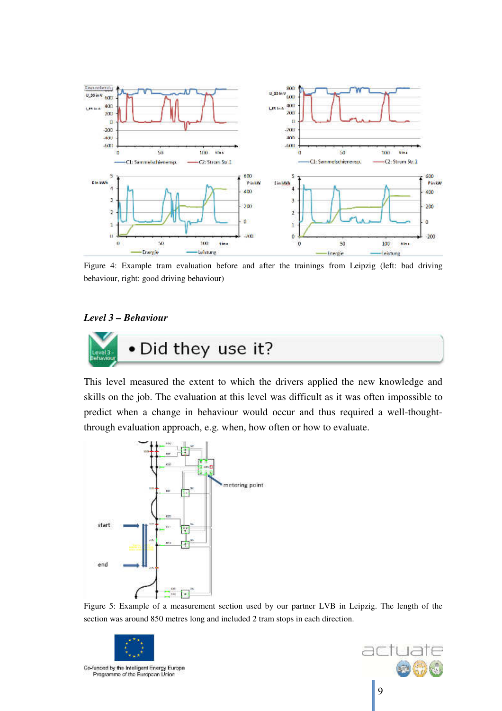

Figure 4: Example tram evaluation before and after the trainings from Leipzig (left: bad driving behaviour, right: good driving behaviour)

#### *Level 3 – Behaviour*



This level measured the extent to which the drivers applied the new knowledge and skills on the job. The evaluation at this level was difficult as it was often impossible to predict when a change in behaviour would occur and thus required a well-thoughtthrough evaluation approach, e.g. when, how often or how to evaluate.



Figure 5: Example of a measurement section used by our partner LVB in Leipzig. The length of the section was around 850 metres long and included 2 tram stops in each direction.



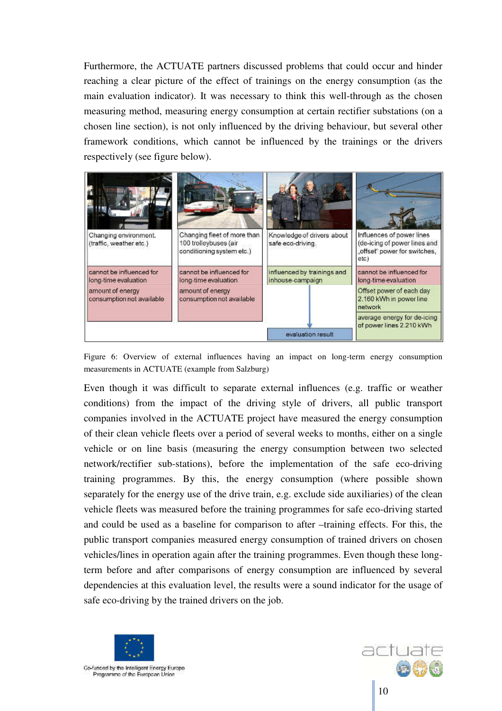Furthermore, the ACTUATE partners discussed problems that could occur and hinder reaching a clear picture of the effect of trainings on the energy consumption (as the main evaluation indicator). It was necessary to think this well-through as the chosen measuring method, measuring energy consumption at certain rectifier substations (on a chosen line section), is not only influenced by the driving behaviour, but several other framework conditions, which cannot be influenced by the trainings or the drivers respectively (see figure below).



Figure 6: Overview of external influences having an impact on long-term energy consumption measurements in ACTUATE (example from Salzburg)

Even though it was difficult to separate external influences (e.g. traffic or weather conditions) from the impact of the driving style of drivers, all public transport companies involved in the ACTUATE project have measured the energy consumption of their clean vehicle fleets over a period of several weeks to months, either on a single vehicle or on line basis (measuring the energy consumption between two selected network/rectifier sub-stations), before the implementation of the safe eco-driving training programmes. By this, the energy consumption (where possible shown separately for the energy use of the drive train, e.g. exclude side auxiliaries) of the clean vehicle fleets was measured before the training programmes for safe eco-driving started and could be used as a baseline for comparison to after –training effects. For this, the public transport companies measured energy consumption of trained drivers on chosen vehicles/lines in operation again after the training programmes. Even though these longterm before and after comparisons of energy consumption are influenced by several dependencies at this evaluation level, the results were a sound indicator for the usage of safe eco-driving by the trained drivers on the job.



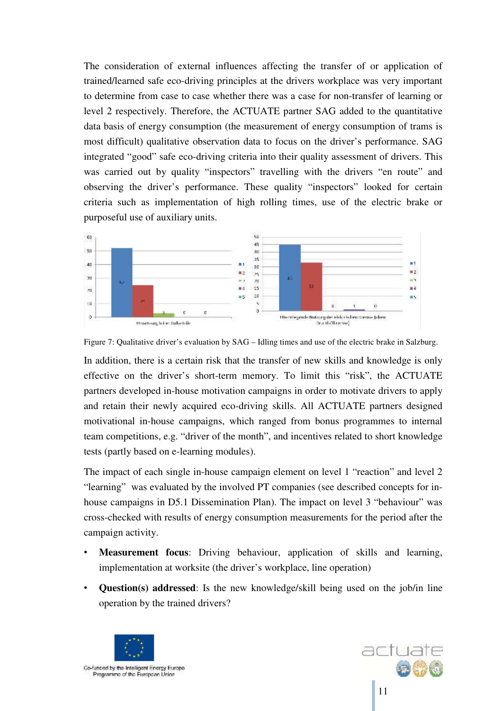The consideration of external influences affecting the transfer of or application of trained/learned safe eco-driving principles at the drivers workplace was very important to determine from case to case whether there was a case for non-transfer of learning or level 2 respectively. Therefore, the ACTUATE partner SAG added to the quantitative data basis of energy consumption (the measurement of energy consumption of trams is most difficult) qualitative observation data to focus on the driver's performance. SAG integrated "good" safe eco-driving criteria into their quality assessment of drivers. This was carried out by quality "inspectors" travelling with the drivers "en route" and observing the driver's performance. These quality "inspectors" looked for certain criteria such as implementation of high rolling times, use of the electric brake or purposeful use of auxiliary units.



Figure 7: Qualitative driver's evaluation by SAG – Idling times and use of the electric brake in Salzburg.

In addition, there is a certain risk that the transfer of new skills and knowledge is only effective on the driver's short-term memory. To limit this "risk", the ACTUATE partners developed in-house motivation campaigns in order to motivate drivers to apply and retain their newly acquired eco-driving skills. All ACTUATE partners designed motivational in-house campaigns, which ranged from bonus programmes to internal team competitions, e.g. "driver of the month", and incentives related to short knowledge tests (partly based on e-learning modules).

The impact of each single in-house campaign element on level 1 "reaction" and level 2 "learning" was evaluated by the involved PT companies (see described concepts for inhouse campaigns in D5.1 Dissemination Plan). The impact on level 3 "behaviour" was cross-checked with results of energy consumption measurements for the period after the campaign activity.

- **Measurement focus**: Driving behaviour, application of skills and learning, implementation at worksite (the driver's workplace, line operation)
- **Question(s) addressed**: Is the new knowledge/skill being used on the job/in line operation by the trained drivers?



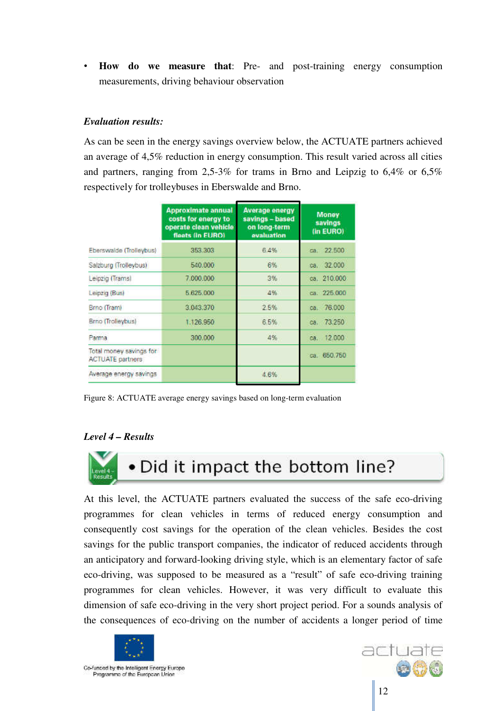• **How do we measure that**: Pre- and post-training energy consumption measurements, driving behaviour observation

#### *Evaluation results:*

As can be seen in the energy savings overview below, the ACTUATE partners achieved an average of 4,5% reduction in energy consumption. This result varied across all cities and partners, ranging from 2,5-3% for trams in Brno and Leipzig to 6,4% or 6,5% respectively for trolleybuses in Eberswalde and Brno.

|                                                    | <b>Approximate annual</b><br>costs for energy to<br>operate clean vehicle<br>fleets (in EURO) | <b>Average energy</b><br>savings - based<br>on long-term<br>evaluation | <b>Money</b><br>savings<br>(in EURO) |
|----------------------------------------------------|-----------------------------------------------------------------------------------------------|------------------------------------------------------------------------|--------------------------------------|
| Eberswalde (Trolleybus)                            | 353,303                                                                                       | 6.4%                                                                   | са. 22.500                           |
| Salzburg (Trolleybus)                              | 540.000                                                                                       | 6%                                                                     | ca. 32.000                           |
| Leipzig (Trams)                                    | 7.000.000                                                                                     | 3%                                                                     | ca. 210,000                          |
| Leipzig (Bus)                                      | 5 625 000                                                                                     | 4%                                                                     | са. 225.000                          |
| Brno (Tram)                                        | 3.043.370                                                                                     | 2.5%                                                                   | ca. 76.000                           |
| <b>Brno</b> (Trolleybus)                           | 1.126.950                                                                                     | 6.5%                                                                   | ca. 73.250                           |
| Parma                                              | 300.000                                                                                       | 4%                                                                     | 12.000<br>ca.                        |
| Total money savings for<br><b>ACTUATE</b> partners |                                                                                               |                                                                        | ca. 650.750                          |
| Average energy savings                             |                                                                                               | 4.6%                                                                   |                                      |

Figure 8: ACTUATE average energy savings based on long-term evaluation

#### *Level 4 – Results*



At this level, the ACTUATE partners evaluated the success of the safe eco-driving programmes for clean vehicles in terms of reduced energy consumption and consequently cost savings for the operation of the clean vehicles. Besides the cost savings for the public transport companies, the indicator of reduced accidents through an anticipatory and forward-looking driving style, which is an elementary factor of safe eco-driving, was supposed to be measured as a "result" of safe eco-driving training programmes for clean vehicles. However, it was very difficult to evaluate this dimension of safe eco-driving in the very short project period. For a sounds analysis of the consequences of eco-driving on the number of accidents a longer period of time



l

actuat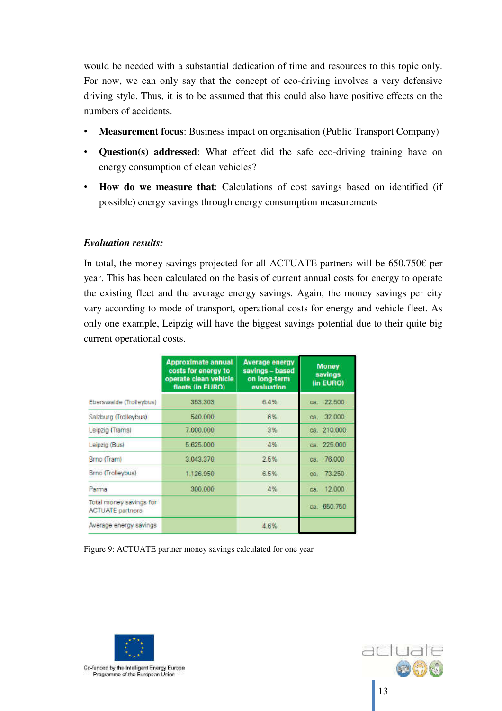would be needed with a substantial dedication of time and resources to this topic only. For now, we can only say that the concept of eco-driving involves a very defensive driving style. Thus, it is to be assumed that this could also have positive effects on the numbers of accidents.

- **Measurement focus**: Business impact on organisation (Public Transport Company)
- **Question(s) addressed**: What effect did the safe eco-driving training have on energy consumption of clean vehicles?
- **How do we measure that**: Calculations of cost savings based on identified (if possible) energy savings through energy consumption measurements

#### *Evaluation results:*

In total, the money savings projected for all ACTUATE partners will be  $650.750\epsilon$  per year. This has been calculated on the basis of current annual costs for energy to operate the existing fleet and the average energy savings. Again, the money savings per city vary according to mode of transport, operational costs for energy and vehicle fleet. As only one example, Leipzig will have the biggest savings potential due to their quite big current operational costs.

|                                                    | <b>Approximate annual</b><br>costs for energy to<br>operate clean vehicle<br>fleets (in EURO) | <b>Average energy</b><br>savings - based<br>on long-term<br>evaluation | <b>Money</b><br>savings<br>(in EURO) |
|----------------------------------------------------|-----------------------------------------------------------------------------------------------|------------------------------------------------------------------------|--------------------------------------|
| Eberswalde (Trolleybus)                            | 353,303                                                                                       | 6.4%                                                                   | 22.500<br>CB.                        |
| Salzburg (Trolleybus)                              | 540.000                                                                                       | 6%                                                                     | 32,000<br>ca.                        |
| Leipzig (Trams)                                    | 7.000.000                                                                                     | 3%                                                                     | ca. 210,000                          |
| Leipzig (Bus)                                      | 5 625 000                                                                                     | 4%                                                                     | са. 225 000                          |
| <b>Brno</b> (Tram)                                 | 3.043.370                                                                                     | 2.5%                                                                   | ca. 76.000                           |
| Brno (Trolleybus)                                  | 1.126.950                                                                                     | 6.5%                                                                   | 73,250<br>ca.                        |
| Parma                                              | 300.000                                                                                       | 4%                                                                     | 12.000<br>ca.                        |
| Total money savings for<br><b>ACTUATE</b> partners |                                                                                               |                                                                        | ca. 650.750                          |
| Average energy savings                             |                                                                                               | 4.6%                                                                   |                                      |

Figure 9: ACTUATE partner money savings calculated for one year



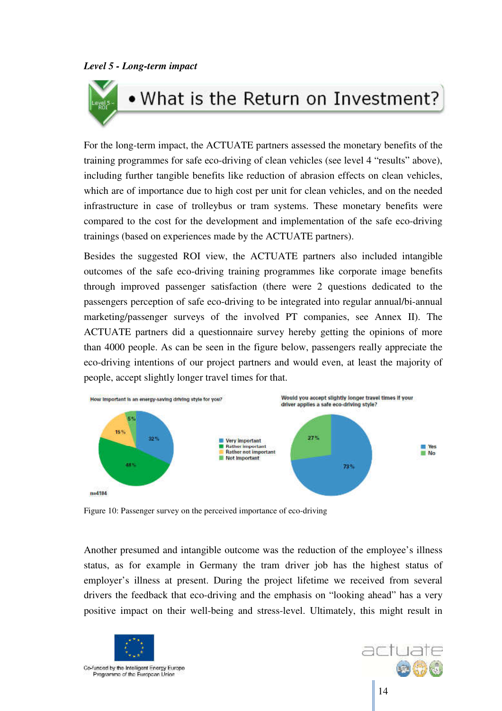# . What is the Return on Investment?

For the long-term impact, the ACTUATE partners assessed the monetary benefits of the training programmes for safe eco-driving of clean vehicles (see level 4 "results" above), including further tangible benefits like reduction of abrasion effects on clean vehicles, which are of importance due to high cost per unit for clean vehicles, and on the needed infrastructure in case of trolleybus or tram systems. These monetary benefits were compared to the cost for the development and implementation of the safe eco-driving trainings (based on experiences made by the ACTUATE partners).

Besides the suggested ROI view, the ACTUATE partners also included intangible outcomes of the safe eco-driving training programmes like corporate image benefits through improved passenger satisfaction (there were 2 questions dedicated to the passengers perception of safe eco-driving to be integrated into regular annual/bi-annual marketing/passenger surveys of the involved PT companies, see Annex II). The ACTUATE partners did a questionnaire survey hereby getting the opinions of more than 4000 people. As can be seen in the figure below, passengers really appreciate the eco-driving intentions of our project partners and would even, at least the majority of people, accept slightly longer travel times for that.



Figure 10: Passenger survey on the perceived importance of eco-driving

Another presumed and intangible outcome was the reduction of the employee's illness status, as for example in Germany the tram driver job has the highest status of employer's illness at present. During the project lifetime we received from several drivers the feedback that eco-driving and the emphasis on "looking ahead" has a very positive impact on their well-being and stress-level. Ultimately, this might result in



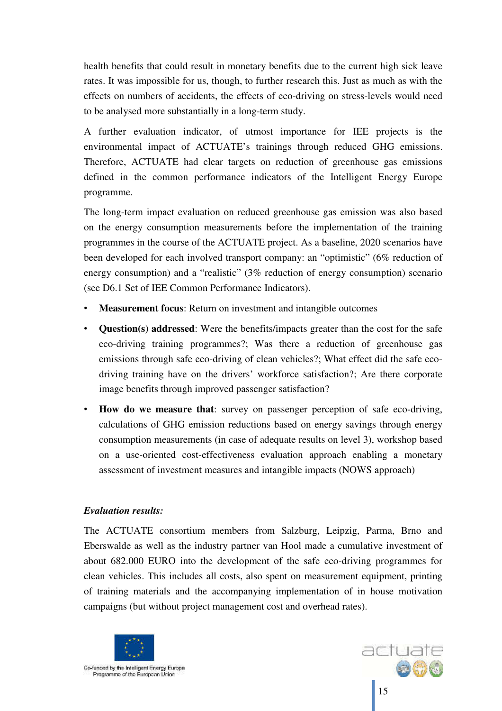health benefits that could result in monetary benefits due to the current high sick leave rates. It was impossible for us, though, to further research this. Just as much as with the effects on numbers of accidents, the effects of eco-driving on stress-levels would need to be analysed more substantially in a long-term study.

A further evaluation indicator, of utmost importance for IEE projects is the environmental impact of ACTUATE's trainings through reduced GHG emissions. Therefore, ACTUATE had clear targets on reduction of greenhouse gas emissions defined in the common performance indicators of the Intelligent Energy Europe programme.

The long-term impact evaluation on reduced greenhouse gas emission was also based on the energy consumption measurements before the implementation of the training programmes in the course of the ACTUATE project. As a baseline, 2020 scenarios have been developed for each involved transport company: an "optimistic" (6% reduction of energy consumption) and a "realistic" (3% reduction of energy consumption) scenario (see D6.1 Set of IEE Common Performance Indicators).

- **Measurement focus:** Return on investment and intangible outcomes
- **Question(s) addressed**: Were the benefits/impacts greater than the cost for the safe eco-driving training programmes?; Was there a reduction of greenhouse gas emissions through safe eco-driving of clean vehicles?; What effect did the safe ecodriving training have on the drivers' workforce satisfaction?; Are there corporate image benefits through improved passenger satisfaction?
- **How do we measure that**: survey on passenger perception of safe eco-driving, calculations of GHG emission reductions based on energy savings through energy consumption measurements (in case of adequate results on level 3), workshop based on a use-oriented cost-effectiveness evaluation approach enabling a monetary assessment of investment measures and intangible impacts (NOWS approach)

#### *Evaluation results:*

The ACTUATE consortium members from Salzburg, Leipzig, Parma, Brno and Eberswalde as well as the industry partner van Hool made a cumulative investment of about 682.000 EURO into the development of the safe eco-driving programmes for clean vehicles. This includes all costs, also spent on measurement equipment, printing of training materials and the accompanying implementation of in house motivation campaigns (but without project management cost and overhead rates).



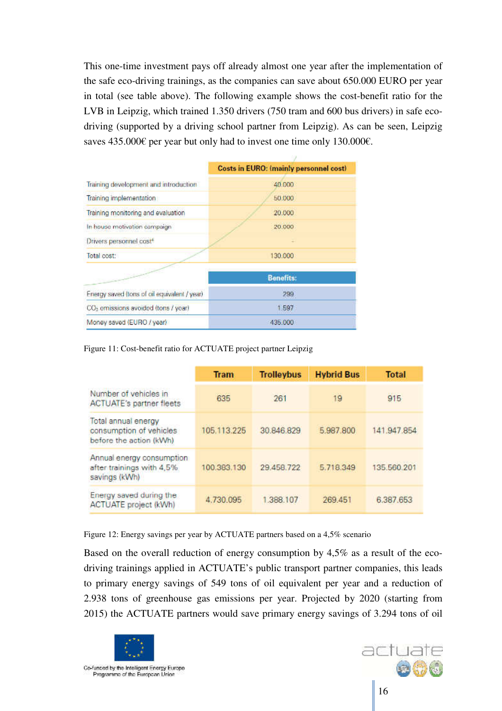This one-time investment pays off already almost one year after the implementation of the safe eco-driving trainings, as the companies can save about 650.000 EURO per year in total (see table above). The following example shows the cost-benefit ratio for the LVB in Leipzig, which trained 1.350 drivers (750 tram and 600 bus drivers) in safe ecodriving (supported by a driving school partner from Leipzig). As can be seen, Leipzig saves 435.000€ per year but only had to invest one time only 130.000€.

|                                                 | <b>Costs in EURO: (mainly personnel cost)</b> |  |  |
|-------------------------------------------------|-----------------------------------------------|--|--|
| Training development and introduction           | 40,000                                        |  |  |
| Training implementation                         | 50.000                                        |  |  |
| Training monitoring and evaluation              | 20,000                                        |  |  |
| In house motivation campaign                    | 20.000                                        |  |  |
| Drivers personnel cost <sup>4</sup>             |                                               |  |  |
| Total cost:                                     | 130,000                                       |  |  |
|                                                 | <b>Benefits:</b>                              |  |  |
| Energy saved (tons of oil equivalent / year)    | 299                                           |  |  |
| CO <sub>2</sub> emissions avoided (tons / year) | 1.597                                         |  |  |
| Money saved (EURO / year)                       | 435,000                                       |  |  |

Figure 11: Cost-benefit ratio for ACTUATE project partner Leipzig

|                                                                           | <b>Tram</b> | <b>Trolleybus</b> | <b>Hybrid Bus</b> | <b>Total</b> |
|---------------------------------------------------------------------------|-------------|-------------------|-------------------|--------------|
| Number of vehicles in<br><b>ACTUATE's partner fleets</b>                  | 635         | 261               | 19                | 915          |
| Total annual energy<br>consumption of vehicles<br>before the action (kWh) | 105.113.225 | 30.846.829        | 5,987,800         | 141.947.854  |
| Annual energy consumption<br>after trainings with 4,5%<br>savings (kWh)   | 100.383.130 | 29.458.722        | 5.718.349         | 135.560.201  |
| Energy saved during the<br><b>ACTUATE</b> project (kWh)                   | 4.730.095   | 1.388.107         | 269.451           | 6.387.653    |

Figure 12: Energy savings per year by ACTUATE partners based on a 4,5% scenario

Based on the overall reduction of energy consumption by 4,5% as a result of the ecodriving trainings applied in ACTUATE's public transport partner companies, this leads to primary energy savings of 549 tons of oil equivalent per year and a reduction of 2.938 tons of greenhouse gas emissions per year. Projected by 2020 (starting from 2015) the ACTUATE partners would save primary energy savings of 3.294 tons of oil



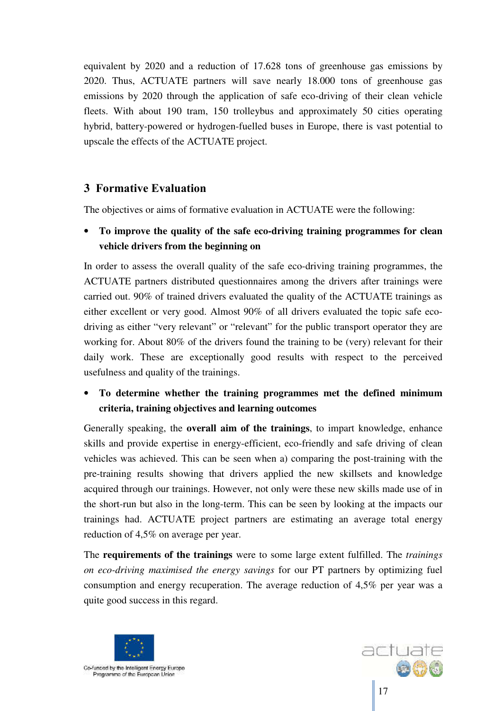equivalent by 2020 and a reduction of 17.628 tons of greenhouse gas emissions by 2020. Thus, ACTUATE partners will save nearly 18.000 tons of greenhouse gas emissions by 2020 through the application of safe eco-driving of their clean vehicle fleets. With about 190 tram, 150 trolleybus and approximately 50 cities operating hybrid, battery-powered or hydrogen-fuelled buses in Europe, there is vast potential to upscale the effects of the ACTUATE project.

## **3 Formative Evaluation**

The objectives or aims of formative evaluation in ACTUATE were the following:

## • **To improve the quality of the safe eco-driving training programmes for clean vehicle drivers from the beginning on**

In order to assess the overall quality of the safe eco-driving training programmes, the ACTUATE partners distributed questionnaires among the drivers after trainings were carried out. 90% of trained drivers evaluated the quality of the ACTUATE trainings as either excellent or very good. Almost 90% of all drivers evaluated the topic safe ecodriving as either "very relevant" or "relevant" for the public transport operator they are working for. About 80% of the drivers found the training to be (very) relevant for their daily work. These are exceptionally good results with respect to the perceived usefulness and quality of the trainings.

## • **To determine whether the training programmes met the defined minimum criteria, training objectives and learning outcomes**

Generally speaking, the **overall aim of the trainings**, to impart knowledge, enhance skills and provide expertise in energy-efficient, eco-friendly and safe driving of clean vehicles was achieved. This can be seen when a) comparing the post-training with the pre-training results showing that drivers applied the new skillsets and knowledge acquired through our trainings. However, not only were these new skills made use of in the short-run but also in the long-term. This can be seen by looking at the impacts our trainings had. ACTUATE project partners are estimating an average total energy reduction of 4,5% on average per year.

The **requirements of the trainings** were to some large extent fulfilled. The *trainings on eco-driving maximised the energy savings* for our PT partners by optimizing fuel consumption and energy recuperation. The average reduction of 4,5% per year was a quite good success in this regard.



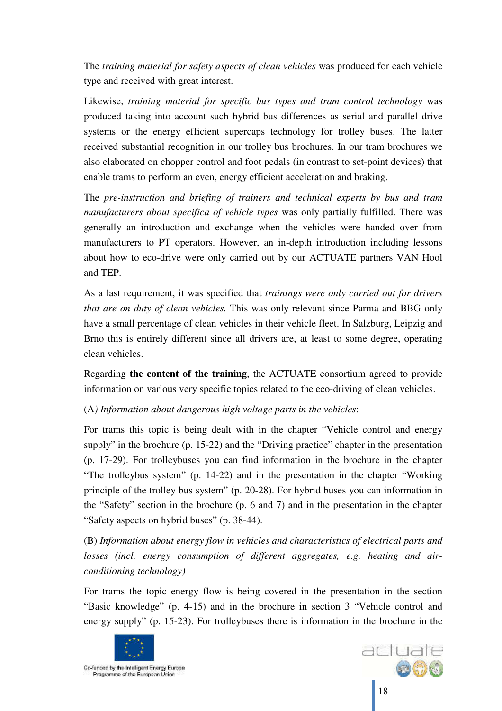The *training material for safety aspects of clean vehicles* was produced for each vehicle type and received with great interest.

Likewise, *training material for specific bus types and tram control technology* was produced taking into account such hybrid bus differences as serial and parallel drive systems or the energy efficient supercaps technology for trolley buses. The latter received substantial recognition in our trolley bus brochures. In our tram brochures we also elaborated on chopper control and foot pedals (in contrast to set-point devices) that enable trams to perform an even, energy efficient acceleration and braking.

The *pre-instruction and briefing of trainers and technical experts by bus and tram manufacturers about specifica of vehicle types* was only partially fulfilled. There was generally an introduction and exchange when the vehicles were handed over from manufacturers to PT operators. However, an in-depth introduction including lessons about how to eco-drive were only carried out by our ACTUATE partners VAN Hool and TEP.

As a last requirement, it was specified that *trainings were only carried out for drivers that are on duty of clean vehicles.* This was only relevant since Parma and BBG only have a small percentage of clean vehicles in their vehicle fleet. In Salzburg, Leipzig and Brno this is entirely different since all drivers are, at least to some degree, operating clean vehicles.

Regarding **the content of the training**, the ACTUATE consortium agreed to provide information on various very specific topics related to the eco-driving of clean vehicles.

(A*) Information about dangerous high voltage parts in the vehicles*:

For trams this topic is being dealt with in the chapter "Vehicle control and energy supply" in the brochure (p. 15-22) and the "Driving practice" chapter in the presentation (p. 17-29). For trolleybuses you can find information in the brochure in the chapter "The trolleybus system" (p. 14-22) and in the presentation in the chapter "Working principle of the trolley bus system" (p. 20-28). For hybrid buses you can information in the "Safety" section in the brochure (p. 6 and 7) and in the presentation in the chapter "Safety aspects on hybrid buses" (p. 38-44).

(B) *Information about energy flow in vehicles and characteristics of electrical parts and losses (incl. energy consumption of different aggregates, e.g. heating and airconditioning technology)*

For trams the topic energy flow is being covered in the presentation in the section "Basic knowledge" (p. 4-15) and in the brochure in section 3 "Vehicle control and energy supply" (p. 15-23). For trolleybuses there is information in the brochure in the



l Programme of the European Union

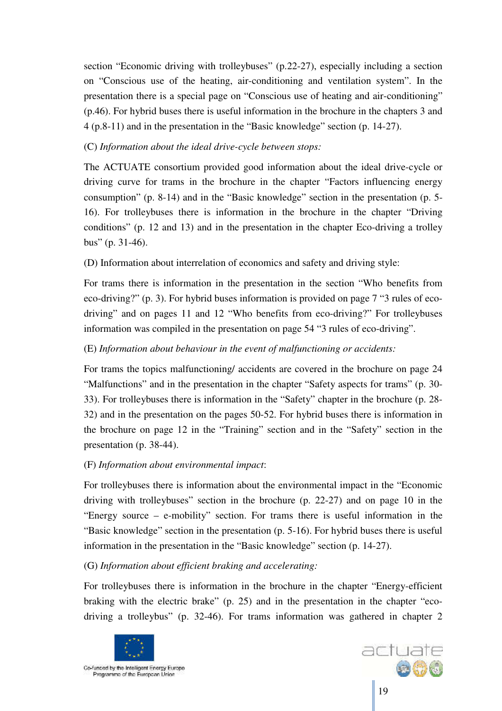section "Economic driving with trolleybuses" (p.22-27), especially including a section on "Conscious use of the heating, air-conditioning and ventilation system". In the presentation there is a special page on "Conscious use of heating and air-conditioning" (p.46). For hybrid buses there is useful information in the brochure in the chapters 3 and 4 (p.8-11) and in the presentation in the "Basic knowledge" section (p. 14-27).

#### (C) *Information about the ideal drive-cycle between stops:*

The ACTUATE consortium provided good information about the ideal drive-cycle or driving curve for trams in the brochure in the chapter "Factors influencing energy consumption" (p. 8-14) and in the "Basic knowledge" section in the presentation (p. 5- 16). For trolleybuses there is information in the brochure in the chapter "Driving conditions" (p. 12 and 13) and in the presentation in the chapter Eco-driving a trolley bus" (p. 31-46).

#### (D) Information about interrelation of economics and safety and driving style:

For trams there is information in the presentation in the section "Who benefits from eco-driving?" (p. 3). For hybrid buses information is provided on page 7 "3 rules of ecodriving" and on pages 11 and 12 "Who benefits from eco-driving?" For trolleybuses information was compiled in the presentation on page 54 "3 rules of eco-driving".

#### (E) *Information about behaviour in the event of malfunctioning or accidents:*

For trams the topics malfunctioning/ accidents are covered in the brochure on page 24 "Malfunctions" and in the presentation in the chapter "Safety aspects for trams" (p. 30- 33). For trolleybuses there is information in the "Safety" chapter in the brochure (p. 28- 32) and in the presentation on the pages 50-52. For hybrid buses there is information in the brochure on page 12 in the "Training" section and in the "Safety" section in the presentation (p. 38-44).

#### (F) *Information about environmental impact*:

For trolleybuses there is information about the environmental impact in the "Economic driving with trolleybuses" section in the brochure (p. 22-27) and on page 10 in the "Energy source – e-mobility" section. For trams there is useful information in the "Basic knowledge" section in the presentation (p. 5-16). For hybrid buses there is useful information in the presentation in the "Basic knowledge" section (p. 14-27).

#### (G) *Information about efficient braking and accelerating:*

For trolleybuses there is information in the brochure in the chapter "Energy-efficient braking with the electric brake" (p. 25) and in the presentation in the chapter "ecodriving a trolleybus" (p. 32-46). For trams information was gathered in chapter 2



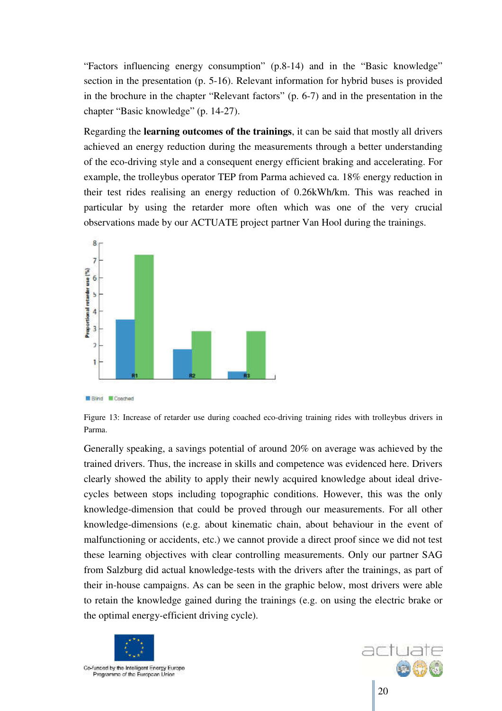"Factors influencing energy consumption" (p.8-14) and in the "Basic knowledge" section in the presentation (p. 5-16). Relevant information for hybrid buses is provided in the brochure in the chapter "Relevant factors" (p. 6-7) and in the presentation in the chapter "Basic knowledge" (p. 14-27).

Regarding the **learning outcomes of the trainings**, it can be said that mostly all drivers achieved an energy reduction during the measurements through a better understanding of the eco-driving style and a consequent energy efficient braking and accelerating. For example, the trolleybus operator TEP from Parma achieved ca. 18% energy reduction in their test rides realising an energy reduction of 0.26kWh/km. This was reached in particular by using the retarder more often which was one of the very crucial observations made by our ACTUATE project partner Van Hool during the trainings.



**Bind** *Coached* 

Figure 13: Increase of retarder use during coached eco-driving training rides with trolleybus drivers in Parma.

Generally speaking, a savings potential of around 20% on average was achieved by the trained drivers. Thus, the increase in skills and competence was evidenced here. Drivers clearly showed the ability to apply their newly acquired knowledge about ideal drivecycles between stops including topographic conditions. However, this was the only knowledge-dimension that could be proved through our measurements. For all other knowledge-dimensions (e.g. about kinematic chain, about behaviour in the event of malfunctioning or accidents, etc.) we cannot provide a direct proof since we did not test these learning objectives with clear controlling measurements. Only our partner SAG from Salzburg did actual knowledge-tests with the drivers after the trainings, as part of their in-house campaigns. As can be seen in the graphic below, most drivers were able to retain the knowledge gained during the trainings (e.g. on using the electric brake or the optimal energy-efficient driving cycle).



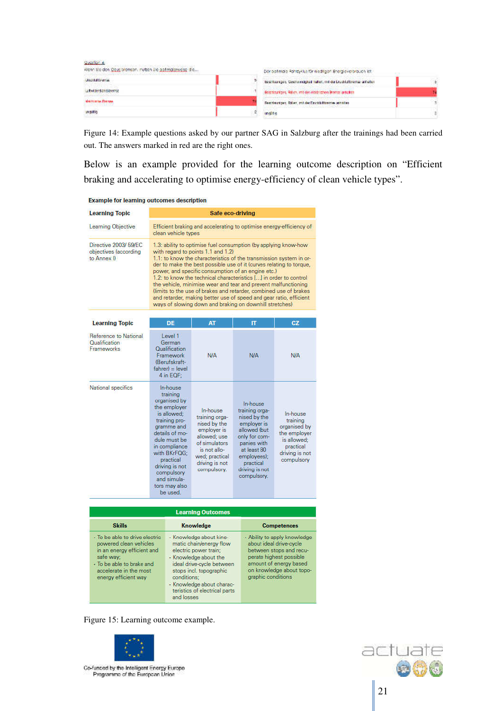| Guestion 4:<br>Wenn Sleiden Obugbrensen, nutten Sie gelimplerweise die | Denobilmaic Fahrzyklus für meditgen Bhergieverbrauch lett-            |  |
|------------------------------------------------------------------------|-----------------------------------------------------------------------|--|
| <b>Unustration ray</b>                                                 | East foundate Cooliversignal haben, militar Druckfalls email anhalten |  |
| Li flwidend an obtrentos                                               | Bestränungen, Raken, mit der einfdristhen Bremze anhalten             |  |
| <b>BRITISH RETIN</b>                                                   | Restriction: Rd et imi de Duchkflasme antalien                        |  |
| unautio                                                                | undiri o                                                              |  |

Figure 14: Example questions asked by our partner SAG in Salzburg after the trainings had been carried out. The answers marked in red are the right ones.

Below is an example provided for the learning outcome description on "Efficient braking and accelerating to optimise energy-efficiency of clean vehicle types".

| <b>Example for learning outcomes description</b> |  |
|--------------------------------------------------|--|
|--------------------------------------------------|--|

| <b>Learning Topic</b>                                              | Safe eco-driving                                                                                                                                                                                                                                                                                                                                                                                                                                                                                                                                                                                                                                      |                                                                                                                                                               |                                                                                                                                                                                       |                                                                                                                  |  |
|--------------------------------------------------------------------|-------------------------------------------------------------------------------------------------------------------------------------------------------------------------------------------------------------------------------------------------------------------------------------------------------------------------------------------------------------------------------------------------------------------------------------------------------------------------------------------------------------------------------------------------------------------------------------------------------------------------------------------------------|---------------------------------------------------------------------------------------------------------------------------------------------------------------|---------------------------------------------------------------------------------------------------------------------------------------------------------------------------------------|------------------------------------------------------------------------------------------------------------------|--|
| Learning Objective                                                 | Efficient braking and accelerating to optimise energy-efficiency of<br>clean vehicle types                                                                                                                                                                                                                                                                                                                                                                                                                                                                                                                                                            |                                                                                                                                                               |                                                                                                                                                                                       |                                                                                                                  |  |
| Directive 2003/ 59/EC<br>objectives (according<br>to Annex II      | 1.3: ability to optimise fuel consumption (by applying know-how<br>with regard to points 1.1 and 1.2)<br>1.1: to know the characteristics of the transmission system in or-<br>der to make the best possible use of it (curves relating to torque,<br>power, and specific consumption of an engine etc.)<br>1.2: to know the technical characteristics [] in order to control<br>the vehicle, minimise wear and tear and prevent malfunctioning<br>(limits to the use of brakes and retarder, combined use of brakes<br>and retarder, making better use of speed and gear ratio, efficient<br>ways of slowing down and braking on downhill stretches) |                                                                                                                                                               |                                                                                                                                                                                       |                                                                                                                  |  |
| <b>Learning Topic</b>                                              | DE                                                                                                                                                                                                                                                                                                                                                                                                                                                                                                                                                                                                                                                    | AT                                                                                                                                                            | π                                                                                                                                                                                     | CZ                                                                                                               |  |
| Reference to National<br><b>Oualification</b><br><b>Erameworks</b> | Level 1<br>German<br>Oualification<br>Framework<br>(Berufskraft-<br>$fahrefl = level$<br>4 in EQF:                                                                                                                                                                                                                                                                                                                                                                                                                                                                                                                                                    | <b>N/A</b>                                                                                                                                                    | N/A                                                                                                                                                                                   | <b>NJA</b>                                                                                                       |  |
| National specifics                                                 | In-house<br>training<br>organised by<br>the employer<br>is allowed:<br>training pro-<br>gramme and<br>details of mo-<br>dule must be<br>in compliance<br>with BKrFQG:<br>practical<br>driving is not<br>compulsory<br>and simula-<br>tors may also<br>he used                                                                                                                                                                                                                                                                                                                                                                                         | In-house<br>training orga-<br>nised by the<br>employer is<br>allowed; use<br>of simulators<br>is not allo-<br>wed; practical<br>driving is not<br>compulsory. | In-house<br>training orga-<br>nised by the<br>employer is<br>allowed (but<br>only for com-<br>panies with<br>at least 80<br>employees);<br>practical<br>driving is not<br>compulsory. | In-house<br>training<br>organised by<br>the employer<br>is allowed:<br>practical<br>driving is not<br>compulsory |  |

| <b>Learning Outcomes</b>                                                                                                                                                           |                                                                                                                                                                                                                                                         |                                                                                                                                                                                           |  |  |  |
|------------------------------------------------------------------------------------------------------------------------------------------------------------------------------------|---------------------------------------------------------------------------------------------------------------------------------------------------------------------------------------------------------------------------------------------------------|-------------------------------------------------------------------------------------------------------------------------------------------------------------------------------------------|--|--|--|
| <b>Skills</b>                                                                                                                                                                      | <b>Knowledge</b>                                                                                                                                                                                                                                        | <b>Competences</b>                                                                                                                                                                        |  |  |  |
| - To be able to drive electric<br>powered clean vehicles<br>in an energy efficient and<br>safe way:<br>• To be able to brake and<br>accelerate in the most<br>energy efficient way | - Knowledge about kine-<br>matic chain/energy flow<br>electric power train:<br>- Knowledge about the<br>ideal drive-cycle between<br>stops incl. topographic<br>conditions:<br>· Knowledge about charac-<br>teristics of electrical parts<br>and losses | - Ability to apply knowledge<br>about ideal drive-cycle<br>between stops and recu-<br>perate highest possible<br>amount of energy based<br>on knowledge about topo-<br>graphic conditions |  |  |  |

Figure 15: Learning outcome example.



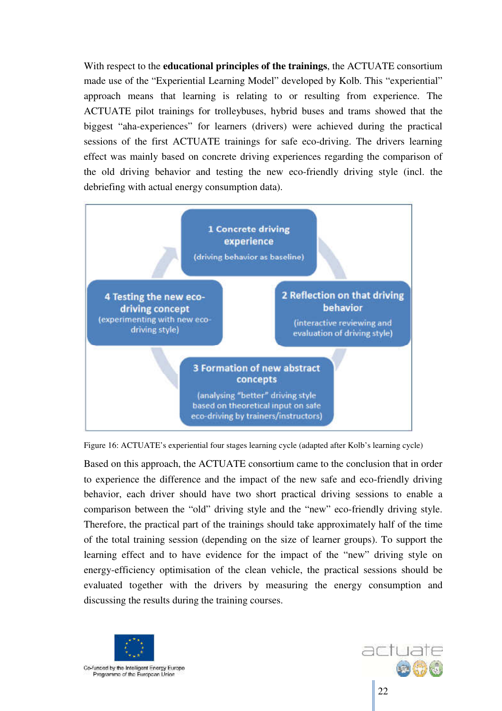With respect to the **educational principles of the trainings**, the ACTUATE consortium made use of the "Experiential Learning Model" developed by Kolb. This "experiential" approach means that learning is relating to or resulting from experience. The ACTUATE pilot trainings for trolleybuses, hybrid buses and trams showed that the biggest "aha-experiences" for learners (drivers) were achieved during the practical sessions of the first ACTUATE trainings for safe eco-driving. The drivers learning effect was mainly based on concrete driving experiences regarding the comparison of the old driving behavior and testing the new eco-friendly driving style (incl. the debriefing with actual energy consumption data).



Figure 16: ACTUATE's experiential four stages learning cycle (adapted after Kolb's learning cycle)

Based on this approach, the ACTUATE consortium came to the conclusion that in order to experience the difference and the impact of the new safe and eco-friendly driving behavior, each driver should have two short practical driving sessions to enable a comparison between the "old" driving style and the "new" eco-friendly driving style. Therefore, the practical part of the trainings should take approximately half of the time of the total training session (depending on the size of learner groups). To support the learning effect and to have evidence for the impact of the "new" driving style on energy-efficiency optimisation of the clean vehicle, the practical sessions should be evaluated together with the drivers by measuring the energy consumption and discussing the results during the training courses.



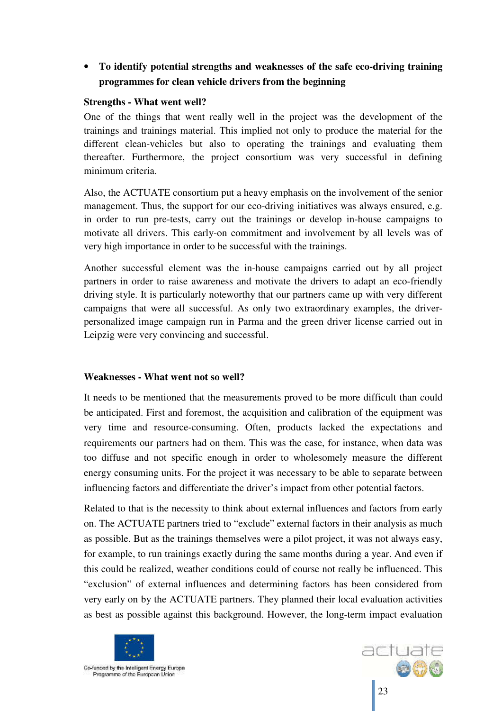## • **To identify potential strengths and weaknesses of the safe eco-driving training programmes for clean vehicle drivers from the beginning**

#### **Strengths - What went well?**

One of the things that went really well in the project was the development of the trainings and trainings material. This implied not only to produce the material for the different clean-vehicles but also to operating the trainings and evaluating them thereafter. Furthermore, the project consortium was very successful in defining minimum criteria.

Also, the ACTUATE consortium put a heavy emphasis on the involvement of the senior management. Thus, the support for our eco-driving initiatives was always ensured, e.g. in order to run pre-tests, carry out the trainings or develop in-house campaigns to motivate all drivers. This early-on commitment and involvement by all levels was of very high importance in order to be successful with the trainings.

Another successful element was the in-house campaigns carried out by all project partners in order to raise awareness and motivate the drivers to adapt an eco-friendly driving style. It is particularly noteworthy that our partners came up with very different campaigns that were all successful. As only two extraordinary examples, the driverpersonalized image campaign run in Parma and the green driver license carried out in Leipzig were very convincing and successful.

#### **Weaknesses - What went not so well?**

It needs to be mentioned that the measurements proved to be more difficult than could be anticipated. First and foremost, the acquisition and calibration of the equipment was very time and resource-consuming. Often, products lacked the expectations and requirements our partners had on them. This was the case, for instance, when data was too diffuse and not specific enough in order to wholesomely measure the different energy consuming units. For the project it was necessary to be able to separate between influencing factors and differentiate the driver's impact from other potential factors.

Related to that is the necessity to think about external influences and factors from early on. The ACTUATE partners tried to "exclude" external factors in their analysis as much as possible. But as the trainings themselves were a pilot project, it was not always easy, for example, to run trainings exactly during the same months during a year. And even if this could be realized, weather conditions could of course not really be influenced. This "exclusion" of external influences and determining factors has been considered from very early on by the ACTUATE partners. They planned their local evaluation activities as best as possible against this background. However, the long-term impact evaluation



l

actuate  $\odot$   $\odot$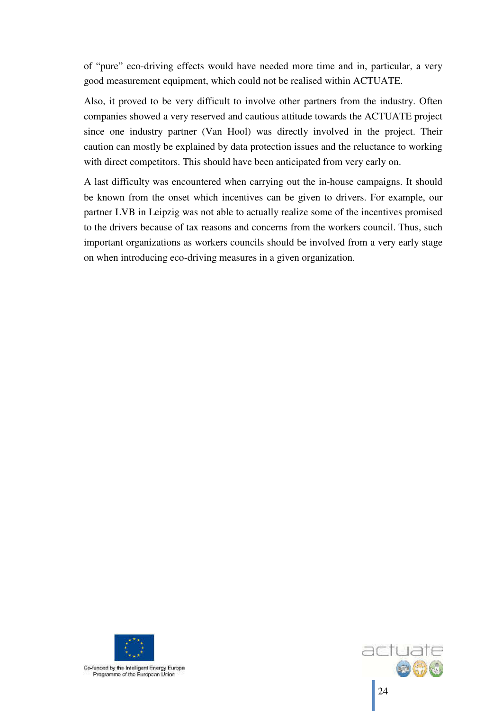of "pure" eco-driving effects would have needed more time and in, particular, a very good measurement equipment, which could not be realised within ACTUATE.

Also, it proved to be very difficult to involve other partners from the industry. Often companies showed a very reserved and cautious attitude towards the ACTUATE project since one industry partner (Van Hool) was directly involved in the project. Their caution can mostly be explained by data protection issues and the reluctance to working with direct competitors. This should have been anticipated from very early on.

A last difficulty was encountered when carrying out the in-house campaigns. It should be known from the onset which incentives can be given to drivers. For example, our partner LVB in Leipzig was not able to actually realize some of the incentives promised to the drivers because of tax reasons and concerns from the workers council. Thus, such important organizations as workers councils should be involved from a very early stage on when introducing eco-driving measures in a given organization.



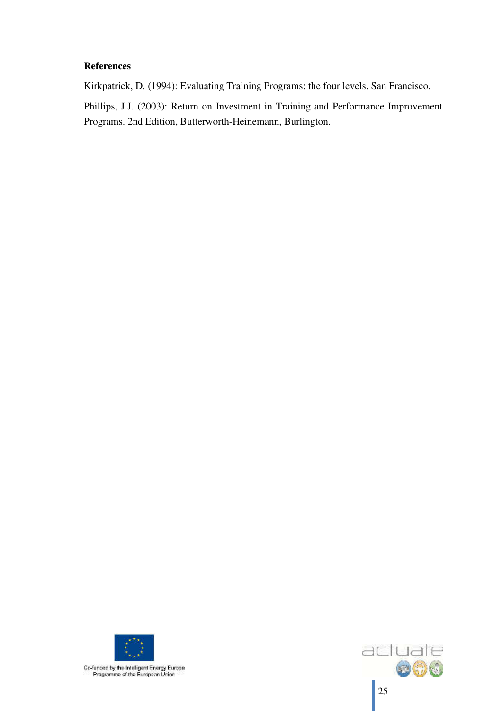#### **References**

Kirkpatrick, D. (1994): Evaluating Training Programs: the four levels. San Francisco.

Phillips, J.J. (2003): Return on Investment in Training and Performance Improvement Programs. 2nd Edition, Butterworth-Heinemann, Burlington.



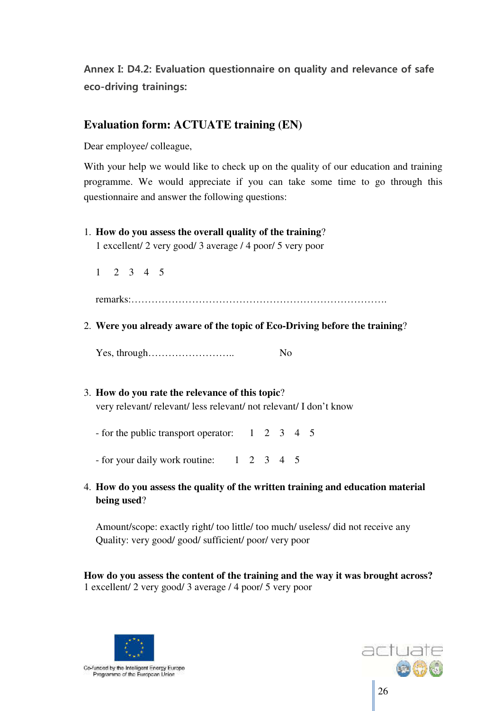**Annex I: D4.2: Evaluation questionnaire on quality and relevance of safe eco-driving trainings:** 

## **Evaluation form: ACTUATE training (EN)**

Dear employee/ colleague,

With your help we would like to check up on the quality of our education and training programme. We would appreciate if you can take some time to go through this questionnaire and answer the following questions:

#### 1. **How do you assess the overall quality of the training**?

1 excellent/ 2 very good/ 3 average / 4 poor/ 5 very poor

1 2 3 4 5

remarks:………………………………………………………………….

2. **Were you already aware of the topic of Eco-Driving before the training**?

Yes, through…………………….. No

## 3. **How do you rate the relevance of this topic**?

very relevant/ relevant/ less relevant/ not relevant/ I don't know

- for the public transport operator: 1 2 3 4 5

- for your daily work routine: 1 2 3 4 5

4. **How do you assess the quality of the written training and education material being used**?

Amount/scope: exactly right/ too little/ too much/ useless/ did not receive any Quality: very good/ good/ sufficient/ poor/ very poor

**How do you assess the content of the training and the way it was brought across?**  1 excellent/ 2 very good/ 3 average / 4 poor/ 5 very poor



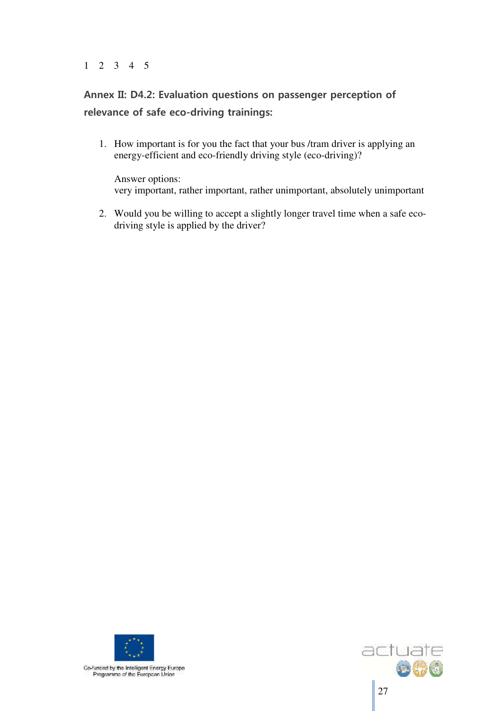#### 1 2 3 4 5

# **Annex II: D4.2: Evaluation questions on passenger perception of relevance of safe eco-driving trainings:**

1. How important is for you the fact that your bus /tram driver is applying an energy-efficient and eco-friendly driving style (eco-driving)?

Answer options: very important, rather important, rather unimportant, absolutely unimportant

2. Would you be willing to accept a slightly longer travel time when a safe ecodriving style is applied by the driver?